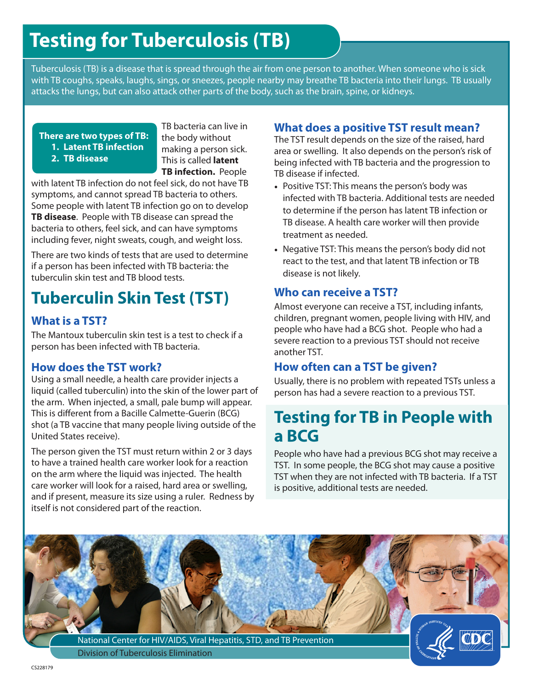# **Testing for Tuberculosis (TB)**

Tuberculosis (TB) is a disease that is spread through the air from one person to another. When someone who is sick with TB coughs, speaks, laughs, sings, or sneezes, people nearby may breathe TB bacteria into their lungs. TB usually attacks the lungs, but can also attack other parts of the body, such as the brain, spine, or kidneys.

**There are two types of TB: 1. Latent TB infection 2. TB disease**

TB bacteria can live in the body without making a person sick. This is called **latent TB infection.** People

**TB disease**. People with TB disease can spread the bacteria to others, feel sick, and can have symptoms including fever, night sweats, cough, and weight loss. with latent TB infection do not feel sick, do not have TB symptoms, and cannot spread TB bacteria to others. Some people with latent TB infection go on to develop

There are two kinds of tests that are used to determine if a person has been infected with TB bacteria: the tuberculin skin test and TB blood tests.

## **Tuberculin Skin Test (TST)**

#### **What is a TST?**

The Mantoux tuberculin skin test is a test to check if a person has been infected with TB bacteria.

#### **How does the TST work?**

Using a small needle, a health care provider injects a liquid (called tuberculin) into the skin of the lower part of the arm. When injected, a small, pale bump will appear. This is different from a Bacille Calmette-Guerin (BCG) shot (a TB vaccine that many people living outside of the United States receive).

The person given the TST must return within 2 or 3 days to have a trained health care worker look for a reaction on the arm where the liquid was injected. The health care worker will look for a raised, hard area or swelling, and if present, measure its size using a ruler. Redness by itself is not considered part of the reaction.

#### **What does a positive TST result mean?**

The TST result depends on the size of the raised, hard area or swelling. It also depends on the person's risk of being infected with TB bacteria and the progression to TB disease if infected.

- Positive TST: This means the person's body was infected with TB bacteria. Additional tests are needed to determine if the person has latent TB infection or TB disease. A health care worker will then provide treatment as needed.
- Negative TST: This means the person's body did not react to the test, and that latent TB infection or TB disease is not likely.

#### **Who can receive a TST?**

Almost everyone can receive a TST, including infants, children, pregnant women, people living with HIV, and people who have had a BCG shot. People who had a severe reaction to a previous TST should not receive another TST.

#### **How often can a TST be given?**

Usually, there is no problem with repeated TSTs unless a person has had a severe reaction to a previous TST.

## **Testing for TB in People with a BCG**

People who have had a previous BCG shot may receive a TST. In some people, the BCG shot may cause a positive TST when they are not infected with TB bacteria. If a TST is positive, additional tests are needed.